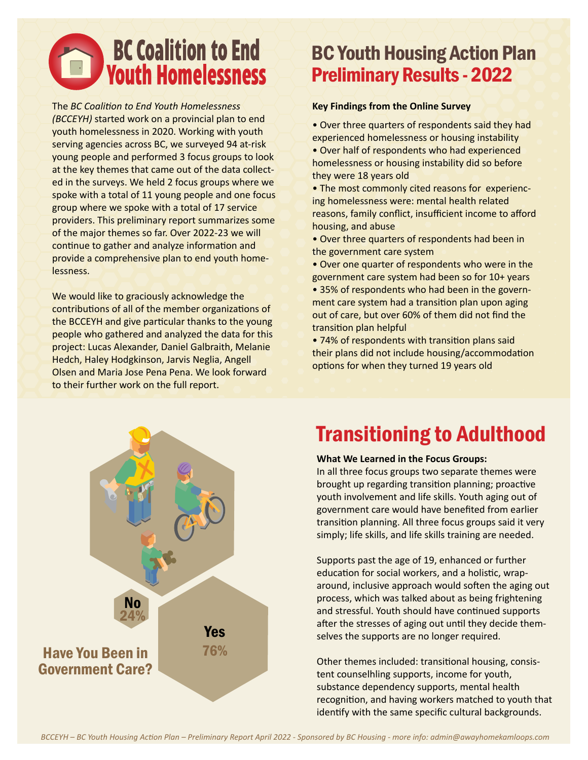# **BC Coalition to End Youth Homelessness**

The *BC Coalition to End Youth Homelessness (BCCEYH)* started work on a provincial plan to end youth homelessness in 2020. Working with youth serving agencies across BC, we surveyed 94 at-risk young people and performed 3 focus groups to look at the key themes that came out of the data collected in the surveys. We held 2 focus groups where we spoke with a total of 11 young people and one focus group where we spoke with a total of 17 service providers. This preliminary report summarizes some of the major themes so far. Over 2022-23 we will continue to gather and analyze information and provide a comprehensive plan to end youth homelessness.

We would like to graciously acknowledge the contributions of all of the member organizations of the BCCEYH and give particular thanks to the young people who gathered and analyzed the data for this project: Lucas Alexander, Daniel Galbraith, Melanie Hedch, Haley Hodgkinson, Jarvis Neglia, Angell Olsen and Maria Jose Pena Pena. We look forward to their further work on the full report.

### BC Youth Housing Action Plan Preliminary Results - 2022

#### **Key Findings from the Online Survey**

• Over three quarters of respondents said they had experienced homelessness or housing instability

• Over half of respondents who had experienced homelessness or housing instability did so before they were 18 years old

• The most commonly cited reasons for experiencing homelessness were: mental health related reasons, family conflict, insufficient income to afford housing, and abuse

• Over three quarters of respondents had been in the government care system

• Over one quarter of respondents who were in the government care system had been so for 10+ years

• 35% of respondents who had been in the government care system had a transition plan upon aging out of care, but over 60% of them did not find the transition plan helpful

• 74% of respondents with transition plans said their plans did not include housing/accommodation options for when they turned 19 years old



### Transitioning to Adulthood

#### **What We Learned in the Focus Groups:**

In all three focus groups two separate themes were brought up regarding transition planning; proactive youth involvement and life skills. Youth aging out of government care would have benefited from earlier transition planning. All three focus groups said it very simply; life skills, and life skills training are needed.

Supports past the age of 19, enhanced or further education for social workers, and a holistic, wraparound, inclusive approach would soften the aging out process, which was talked about as being frightening and stressful. Youth should have continued supports after the stresses of aging out until they decide themselves the supports are no longer required.

Other themes included: transitional housing, consistent counselhling supports, income for youth, substance dependency supports, mental health recognition, and having workers matched to youth that identify with the same specific cultural backgrounds.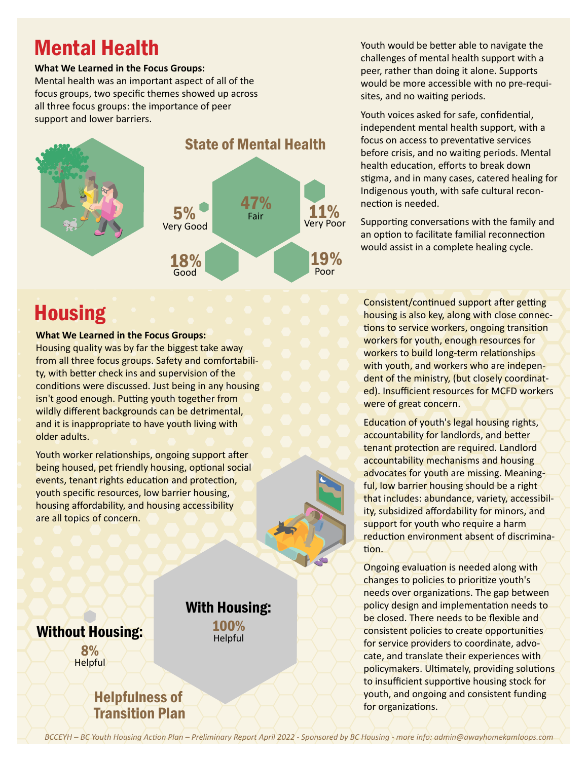## Mental Health

#### **What We Learned in the Focus Groups:**

Mental health was an important aspect of all of the focus groups, two specific themes showed up across all three focus groups: the importance of peer support and lower barriers.



## **Housing**

#### **What We Learned in the Focus Groups:**

Housing quality was by far the biggest take away from all three focus groups. Safety and comfortability, with better check ins and supervision of the conditions were discussed. Just being in any housing isn't good enough. Putting youth together from wildly different backgrounds can be detrimental, and it is inappropriate to have youth living with older adults.

Youth worker relationships, ongoing support after being housed, pet friendly housing, optional social events, tenant rights education and protection, youth specific resources, low barrier housing, housing affordability, and housing accessibility are all topics of concern.

### With Housing: **Without Housing:** 100%

8% **Helpful** 

### Helpfulness of Transition Plan

Youth would be better able to navigate the challenges of mental health support with a peer, rather than doing it alone. Supports would be more accessible with no pre-requisites, and no waiting periods.

Youth voices asked for safe, confidential, independent mental health support, with a focus on access to preventative services before crisis, and no waiting periods. Mental health education, efforts to break down stigma, and in many cases, catered healing for Indigenous youth, with safe cultural reconnection is needed.

Supporting conversations with the family and an option to facilitate familial reconnection would assist in a complete healing cycle.

Consistent/continued support after getting housing is also key, along with close connections to service workers, ongoing transition workers for youth, enough resources for workers to build long-term relationships with youth, and workers who are independent of the ministry, (but closely coordinated). Insufficient resources for MCFD workers were of great concern.

Education of youth's legal housing rights, accountability for landlords, and better tenant protection are required. Landlord accountability mechanisms and housing advocates for youth are missing. Meaningful, low barrier housing should be a right that includes: abundance, variety, accessibility, subsidized affordability for minors, and support for youth who require a harm reduction environment absent of discrimination.

Ongoing evaluation is needed along with changes to policies to prioritize youth's needs over organizations. The gap between policy design and implementation needs to be closed. There needs to be flexible and consistent policies to create opportunities for service providers to coordinate, advocate, and translate their experiences with policymakers. Ultimately, providing solutions to insufficient supportive housing stock for youth, and ongoing and consistent funding for organizations.